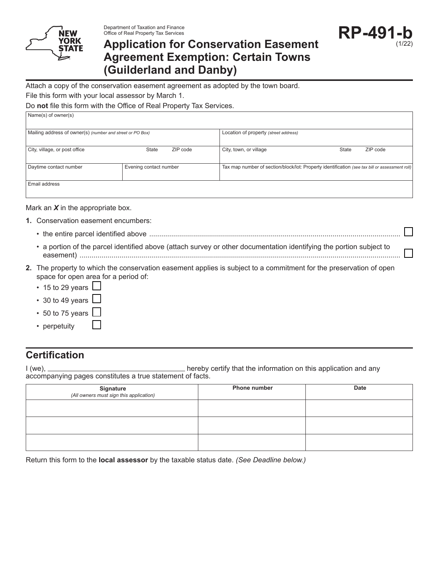

# **Application for Conservation Easement Agreement Exemption: Certain Towns (Guilderland and Danby)**

Attach a copy of the conservation easement agreement as adopted by the town board.

File this form with your local assessor by March 1.

Do **not** file this form with the Office of Real Property Tax Services.

| Name(s) of owner(s)                                       |                        |                                       |                                                                                                |  |
|-----------------------------------------------------------|------------------------|---------------------------------------|------------------------------------------------------------------------------------------------|--|
| Mailing address of owner(s) (number and street or PO Box) |                        | Location of property (street address) |                                                                                                |  |
| City, village, or post office                             | ZIP code<br>State      | City, town, or village                | ZIP code<br><b>State</b>                                                                       |  |
| Daytime contact number                                    | Evening contact number |                                       | Tax map number of section/block/lot: Property identification (see tax bill or assessment roll) |  |
| Email address                                             |                        |                                       |                                                                                                |  |

Mark an *X* in the appropriate box.

- **1.** Conservation easement encumbers:
	- the entire parcel identified above ..............................................................................................................................
	- a portion of the parcel identified above (attach survey or other documentation identifying the portion subject to easement) .................................................................................................................................................................
- **2.** The property to which the conservation easement applies is subject to a commitment for the preservation of open space for open area for a period of:
	- $\cdot$  15 to 29 years  $\lfloor$
	- 30 to 49 years [
	- 50 to 75 years
	- perpetuity

## **Certification**

I (we), hereby certify that the information on this application and any accompanying pages constitutes a true statement of facts.

| Signature<br>(All owners must sign this application) | <b>Phone number</b> | <b>Date</b> |
|------------------------------------------------------|---------------------|-------------|
|                                                      |                     |             |
|                                                      |                     |             |
|                                                      |                     |             |

Return this form to the **local assessor** by the taxable status date. *(See Deadline below.)*